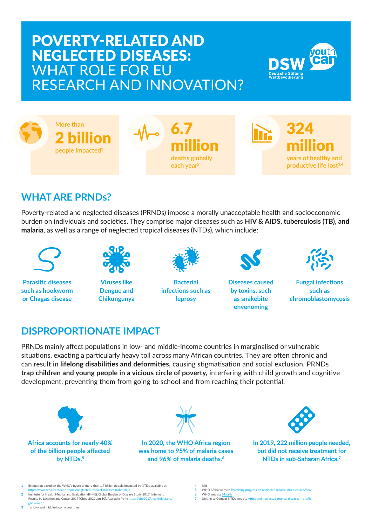# POVERTY-RELATED AND NEGLECTED DISEASES: WHAT ROLE FOR EU RESEARCH AND INNOVATION?





## **WHAT ARE PRNDs?**

Poverty-related and neglected diseases (PRNDs) impose a morally unacceptable health and socioeconomic burden on individuals and societies. They comprise major diseases such as **HIV & AIDS, tuberculosis (TB), and malaria**, as well as a range of neglected tropical diseases (NTDs), which include:



**Parasitic diseases such as hookworm or Chagas disease**



**Viruses like Dengue and Chikungunya**



**Bacterial infections such as leprosy** 



**Diseases caused by toxins, such as snakebite envenoming**



**Fungal infections such as chromoblastomycosis**

#### **DISPROPORTIONATE IMPACT**

PRNDs mainly affect populations in low- and middle-income countries in marginalised or vulnerable situations, exacting a particularly heavy toll across many African countries. They are often chronic and can result in **lifelong disabilities and deformities,** causing stigmatisation and social exclusion. PRNDs **trap children and young people in a vicious circle of poverty,** interfering with child growth and cognitive development, preventing them from going to school and from reaching their potential.



**Africa accounts for nearly 40% of the billion people affected by NTDs.5**



**In 2020, the WHO Africa region was home to 95% of malaria cases and 96% of malaria deaths.6**



**In 2019, 222 million people needed, but did not receive treatment for NTDs in sub‑Saharan Africa.7** 

- **5** WHO Africa website [Promising progress on neglected tropical diseases in Africa](https://www.afro.who.int/news/promising-progress-neglected-tropical-diseases-africa) **WHO** website Mal
- **7** Uniting to Combat NTDs website [Africa and neglected tropical diseases profile](https://unitingtocombatntds.org/africa/africa-profile/)

**<sup>1</sup>** Estimation based on the WHO's figure of more than 1.7 billion people impacted by NTDs, available at: [https://www.who.int/health-topics/neglected-tropical-diseases#tab=tab\\_2](https://www.who.int/health-topics/neglected-tropical-diseases#tab=tab_2) **2** Institute for Health Metrics and Evaluation (IHME). Global Burden of Disease Study 2017 [Internet].

Results by Location and Cause, 2017 [Cited 2022 Jan 10]. Available from: https://phd2017

[gbdsearch/](https://gbd2017.healthdata.org/gbdsearch/) **3** \*in low- and middle-income countries

**<sup>4</sup>** Ibid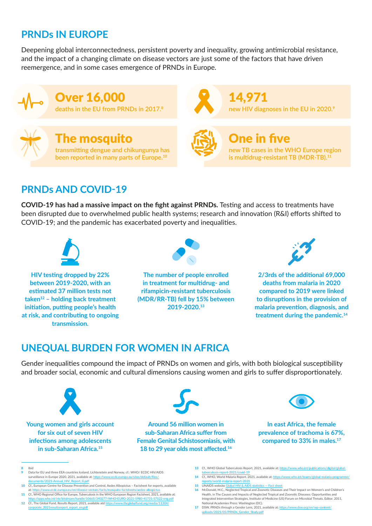#### **PRNDs IN EUROPE**

Deepening global interconnectedness, persistent poverty and inequality, growing antimicrobial resistance, and the impact of a changing climate on disease vectors are just some of the factors that have driven reemergence, and in some cases emergence of PRNDs in Europe.



he mosquito **transmitting dengue and chikungunya has been reported in many parts of Europe.<sup>10</sup>**



One in five

14,971

**new TB cases in the WHO Europe region is multidrug-resistant TB (MDR-TB).11**

**new HIV diagnoses in the EU in 2020.<sup>9</sup>**

## **PRNDs AND COVID-19**

**COVID-19 has had a massive impact on the fight against PRNDs.** Testing and access to treatments have been disrupted due to overwhelmed public health systems; research and innovation (R&I) efforts shifted to COVID-19; and the pandemic has exacerbated poverty and inequalities.



**HIV testing dropped by 22% between 2019-2020, with an estimated 37 million tests not taken12 – holding back treatment initiation, putting people's health at risk, and contributing to ongoing transmission.**



**The number of people enrolled in treatment for multidrug- and rifampicin-resistant tuberculosis (MDR/RR-TB) fell by 15% between 2019-2020.13**



**2/3rds of the additional 69,000 deaths from malaria in 2020 compared to 2019 were linked to disruptions in the provision of malaria prevention, diagnosis, and treatment during the pandemic.14**

#### **UNEQUAL BURDEN FOR WOMEN IN AFRICA**

Gender inequalities compound the impact of PRNDs on women and girls, with both biological susceptibility and broader social, economic and cultural dimensions causing women and girls to suffer disproportionately.



**for six out of seven HIV infections among adolescents in sub-Saharan Africa.15**



**Around 56 million women in sub-Saharan Africa suffer from Female Genital Schistosomiasis, with 18 to 29 year olds most affected.<sup>16</sup>**



**In east Africa, the female prevalence of trachoma is 67%, compared to 33% in males.17**

- **8** Ibid
- **9** Data for EU and three EEA countries Iceland, Lichtenstein and Norway, cf.: WHO/ ECDC HIV/AIDS surveillance in Europe 2020, 2021, available at: https://www.ecdc.euro uments/2021-Annual\_HIV\_Report\_0.pdf

National Academies Press: Washington (DC). **17** DSW, PRNDs through a Gender Lens, 2021, available at: [https://www.dsw.org/en/wp-content/](https://www.dsw.org/en/wp-content/uploads/2021/05/PRNDs_Gender_Study.pdf) Study.pdf

**13** Cf., WHO Global Tuberculosis Report, 2021, available at: [https://www.who.int/publications/digital/global-](https://www.who.int/publications/digital/global-tuberculosis-report-2021/covid-19)

**16** McDonald, M.C., Neglected Tropical and Zoonotic Diseases and Their Impact on Women's and Children's Health, in The Causes and Impacts of Neglected Tropical and Zoonotic Diseases: Opportunities and Integrated Intervention Strategies, Institute of Medicine (US) Forum on Microbial Threats, Editor. 2011,

 $rt - 2021$ /covid-19

ts/world-malaria-report-2021 **15** UNAIDS website [Global HIV & AIDS statistics — Fact sheet](https://www.unaids.org/en/resources/fact-sheet)

**14** Cf., WHO, World Malaria Report, 2021, available at: https://www.who.int/team

**<sup>10</sup>** Cf., European Centre for Disease Prevention and Control, Aedes Albopictus – Factsheet for experts, available a/en/disease-vectors/facts/mosquito-factsheets/aedes-al

**<sup>11</sup>** Cf., WHO Regional Office for Europe, Tuberculosis in the WHO European Region Factsheet, 2021, available at: andle/10665/340277/WHO-EURO-2021-1980-41731-57122-eng.pdf **12** Cf., The Global Fund, Results Report, 2021, available atd [https://www.theglobalfund.org/media/11304/](https://www.theglobalfund.org/media/11304/corporate_2021resultsreport_report_en.pdf) ate\_2021resultsreport\_report\_en.pdf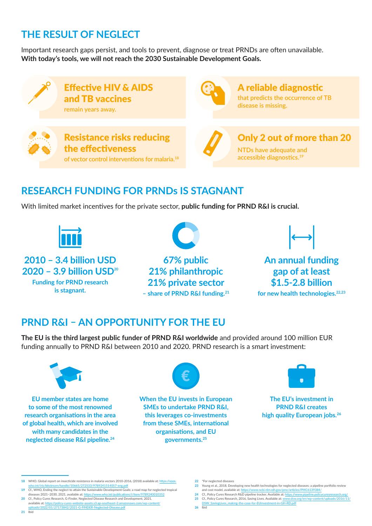#### **THE RESULT OF NEGLECT**

Important research gaps persist, and tools to prevent, diagnose or treat PRNDs are often unavailable. **With today's tools, we will not reach the 2030 Sustainable Development Goals.**



#### **RESEARCH FUNDING FOR PRNDs IS STAGNANT**

With limited market incentives for the private sector, **public funding for PRND R&I is crucial.**



**2010 – 3.4 billion USD 2020 – 3.9 billion USD20 Funding for PRND research is stagnant.** 

**67% public 21% philanthropic 21% private sector – share of PRND R&I funding.21**



**An annual funding gap of at least \$1.5-2.8 billion**

**for new health technologies.22,23**

#### **PRND R&I – AN OPPORTUNITY FOR THE EU**

**The EU is the third largest public funder of PRND R&I worldwide** and provided around 100 million EUR funding annually to PRND R&I between 2010 and 2020. PRND research is a smart investment:



**EU member states are home to some of the most renowned research organisations in the area of global health, which are involved with many candidates in the neglected disease R&I pipeline.24**



**When the EU invests in European SMEs to undertake PRND R&I, this leverages co‑investments from these SMEs, international organisations, and EU governments.25**



**The EU's investment in PRND R&I creates high quality European jobs.26**

and cost model, available at: <https://www.ncbi.nlm.nih.gov/pmc/articles/PMC6139384/> **24** Cf., Policy Cures Research R&D pipeline tracker. Available at:<https://www.pipeline.policycuresresearch.org/>

**<sup>18</sup>** WHO. Global report on insecticide resistance in malaria vectors 2010-2016, (2018) available at: [https://apps.](https://apps.who.int/iris/bitstream/handle/10665/272533/9789241514057-eng.pdf) 83/9789241514057-eng.p

**<sup>19</sup>** Cf., WHO, Ending the neglect to attain the Sustainable Development Goals: a road map for neglected tropical ases 2021−2030, 2021, available at: https://w

**<sup>20</sup>** Cf., Policy Cures Research, G-Finder, Neglected Disease Research and Development, 2021, available at: [https://policy-cures-website-assets.s3.ap-southeast-2.amazonaws.com/wp-content/](https://policy-cures-website-assets.s3.ap-southeast-2.amazonaws.com/wp-content/uploads/2022/01/27173842/2021-G-FINDER-Neglected-Disease.pdf) [uploads/2022/01/27173842/2021-G-FINDER-Neglected-Disease.pdf](https://policy-cures-website-assets.s3.ap-southeast-2.amazonaws.com/wp-content/uploads/2022/01/27173842/2021-G-FINDER-Neglected-Disease.pdf)

**<sup>22</sup>** \*For neglected diseases

**<sup>23</sup>** Young et al., 2018, Developing new health technologies for neglected diseases: a pipeline portfolio review

<sup>25</sup> Cf. Policy Cures Research, 2016, Saving Lives. Available at: www.dsw.org/en/wp-content/uplo [DSW\\_SavingLives\\_making-the-case-for-EUinvestment-in-GH-RD.pdf](www.dsw.org/en/wp-content/uploads/2016/11/DSW_SavingLives_making-the-case-for-EUinvestment-in-GH-RD.pdf)